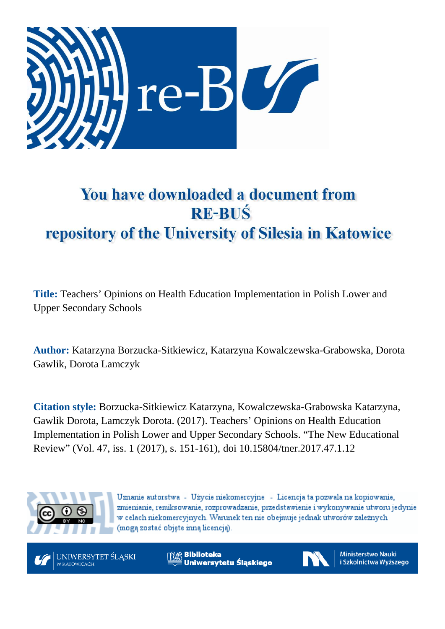

# You have downloaded a document from **RE-BUŚ** repository of the University of Silesia in Katowice

**Title:** Teachers' Opinions on Health Education Implementation in Polish Lower and Upper Secondary Schools

**Author:** Katarzyna Borzucka-Sitkiewicz, Katarzyna Kowalczewska-Grabowska, Dorota Gawlik, Dorota Lamczyk

**Citation style:** Borzucka-Sitkiewicz Katarzyna, Kowalczewska-Grabowska Katarzyna, Gawlik Dorota, Lamczyk Dorota. (2017). Teachers' Opinions on Health Education Implementation in Polish Lower and Upper Secondary Schools. "The New Educational Review" (Vol. 47, iss. 1 (2017), s. 151-161), doi 10.15804/tner.2017.47.1.12



Uznanie autorstwa - Użycie niekomercyjne - Licencja ta pozwala na kopiowanie, zmienianie, remiksowanie, rozprowadzanie, przedstawienie i wykonywanie utworu jedynie w celach niekomercyjnych. Warunek ten nie obejmuje jednak utworów zależnych (moga zostać objete inna licencia).



**Biblioteka** Uniwersytetu Śląskiego



**Ministerstwo Nauki** i Szkolnictwa Wyższego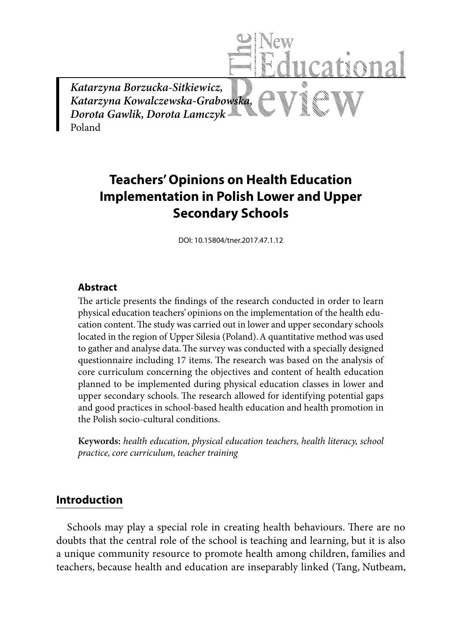

# **Teachers' Opinions on Health Education Implementation in Polish Lower and Upper Secondary Schools**

DOI: 10.15804/tner.2017.47.1.12

# **Abstract**

The article presents the findings of the research conducted in order to learn physical education teachers' opinions on the implementation of the health education content. The study was carried out in lower and upper secondary schools located in the region of Upper Silesia (Poland). A quantitative method was used to gather and analyse data. The survey was conducted with a specially designed questionnaire including 17 items. The research was based on the analysis of core curriculum concerning the objectives and content of health education planned to be implemented during physical education classes in lower and upper secondary schools. The research allowed for identifying potential gaps and good practices in school-based health education and health promotion in the Polish socio-cultural conditions.

**Keywords:** *health education, physical education teachers, health literacy, school practice, core curriculum, teacher training*

# **Introduction**

Schools may play a special role in creating health behaviours. There are no doubts that the central role of the school is teaching and learning, but it is also a unique community resource to promote health among children, families and teachers, because health and education are inseparably linked (Tang, Nutbeam,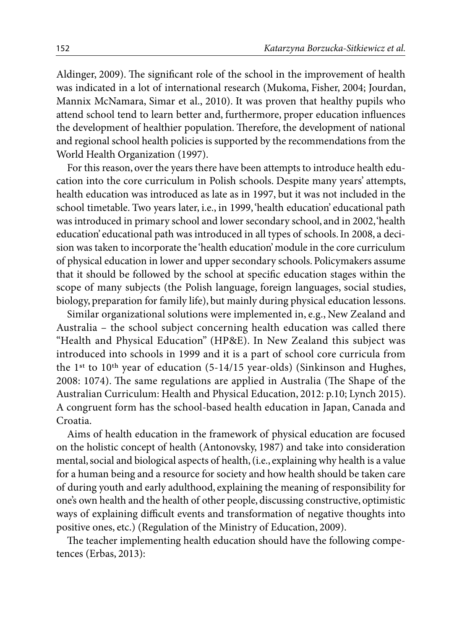Aldinger, 2009). The significant role of the school in the improvement of health was indicated in a lot of international research (Mukoma, Fisher, 2004; Jourdan, Mannix McNamara, Simar et al., 2010). It was proven that healthy pupils who attend school tend to learn better and, furthermore, proper education influences the development of healthier population. Therefore, the development of national and regional school health policies is supported by the recommendations from the World Health Organization (1997).

For this reason, over the years there have been attempts to introduce health education into the core curriculum in Polish schools. Despite many years' attempts, health education was introduced as late as in 1997, but it was not included in the school timetable. Two years later, i.e., in 1999, 'health education' educational path was introduced in primary school and lower secondary school, and in 2002, 'health education' educational path was introduced in all types of schools. In 2008, a decision was taken to incorporate the 'health education' module in the core curriculum of physical education in lower and upper secondary schools. Policymakers assume that it should be followed by the school at specific education stages within the scope of many subjects (the Polish language, foreign languages, social studies, biology, preparation for family life), but mainly during physical education lessons.

Similar organizational solutions were implemented in, e.g., New Zealand and Australia – the school subject concerning health education was called there "Health and Physical Education" (HP&E). In New Zealand this subject was introduced into schools in 1999 and it is a part of school core curricula from the 1st to 10th year of education (5-14/15 year-olds) (Sinkinson and Hughes, 2008: 1074). The same regulations are applied in Australia (The Shape of the Australian Curriculum: Health and Physical Education, 2012: p.10; Lynch 2015). A congruent form has the school-based health education in Japan, Canada and Croatia.

Aims of health education in the framework of physical education are focused on the holistic concept of health (Antonovsky, 1987) and take into consideration mental, social and biological aspects of health, (i.e., explaining why health is a value for a human being and a resource for society and how health should be taken care of during youth and early adulthood, explaining the meaning of responsibility for one's own health and the health of other people, discussing constructive, optimistic ways of explaining difficult events and transformation of negative thoughts into positive ones, etc.) (Regulation of the Ministry of Education, 2009).

The teacher implementing health education should have the following competences (Erbas, 2013):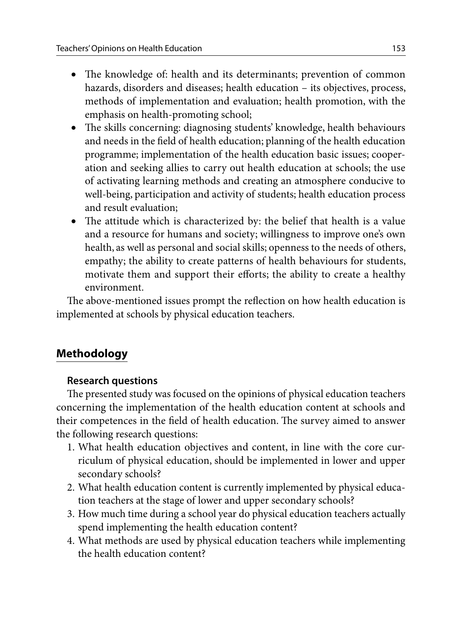- The knowledge of: health and its determinants; prevention of common hazards, disorders and diseases; health education – its objectives, process, methods of implementation and evaluation; health promotion, with the emphasis on health-promoting school;
- The skills concerning: diagnosing students' knowledge, health behaviours and needs in the field of health education; planning of the health education programme; implementation of the health education basic issues; cooperation and seeking allies to carry out health education at schools; the use of activating learning methods and creating an atmosphere conducive to well-being, participation and activity of students; health education process and result evaluation;
- The attitude which is characterized by: the belief that health is a value and a resource for humans and society; willingness to improve one's own health, as well as personal and social skills; openness to the needs of others, empathy; the ability to create patterns of health behaviours for students, motivate them and support their efforts; the ability to create a healthy environment.

The above-mentioned issues prompt the reflection on how health education is implemented at schools by physical education teachers.

# **Methodology**

# **Research questions**

The presented study was focused on the opinions of physical education teachers concerning the implementation of the health education content at schools and their competences in the field of health education. The survey aimed to answer the following research questions:

- 1. What health education objectives and content, in line with the core curriculum of physical education, should be implemented in lower and upper secondary schools?
- 2. What health education content is currently implemented by physical education teachers at the stage of lower and upper secondary schools?
- 3. How much time during a school year do physical education teachers actually spend implementing the health education content?
- 4. What methods are used by physical education teachers while implementing the health education content?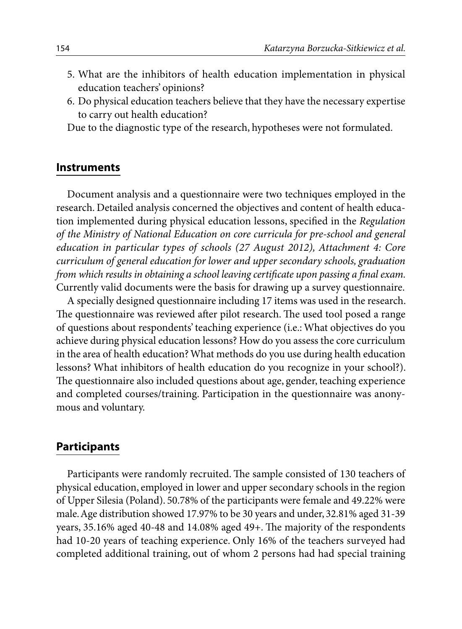- 5. What are the inhibitors of health education implementation in physical education teachers' opinions?
- 6. Do physical education teachers believe that they have the necessary expertise to carry out health education?

Due to the diagnostic type of the research, hypotheses were not formulated.

#### **Instruments**

Document analysis and a questionnaire were two techniques employed in the research. Detailed analysis concerned the objectives and content of health education implemented during physical education lessons, specified in the *Regulation of the Ministry of National Education on core curricula for pre-school and general education in particular types of schools (27 August 2012), Attachment 4: Core curriculum of general education for lower and upper secondary schools, graduation from which results in obtaining a school leaving certificate upon passing a final exam.*  Currently valid documents were the basis for drawing up a survey questionnaire.

A specially designed questionnaire including 17 items was used in the research. The questionnaire was reviewed after pilot research. The used tool posed a range of questions about respondents' teaching experience (i.e.: What objectives do you achieve during physical education lessons? How do you assess the core curriculum in the area of health education? What methods do you use during health education lessons? What inhibitors of health education do you recognize in your school?). The questionnaire also included questions about age, gender, teaching experience and completed courses/training. Participation in the questionnaire was anonymous and voluntary.

## **Participants**

Participants were randomly recruited. The sample consisted of 130 teachers of physical education, employed in lower and upper secondary schools in the region of Upper Silesia (Poland). 50.78% of the participants were female and 49.22% were male. Age distribution showed 17.97% to be 30 years and under, 32.81% aged 31-39 years, 35.16% aged 40-48 and 14.08% aged 49+. The majority of the respondents had 10-20 years of teaching experience. Only 16% of the teachers surveyed had completed additional training, out of whom 2 persons had had special training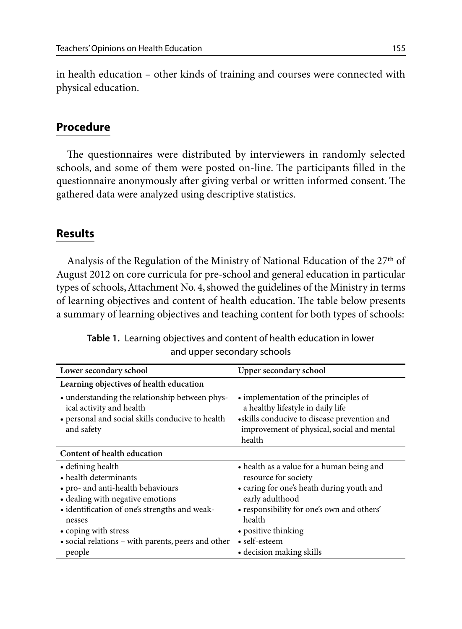in health education – other kinds of training and courses were connected with physical education.

# **Procedure**

The questionnaires were distributed by interviewers in randomly selected schools, and some of them were posted on-line. The participants filled in the questionnaire anonymously after giving verbal or written informed consent. The gathered data were analyzed using descriptive statistics.

# **Results**

Analysis of the Regulation of the Ministry of National Education of the 27<sup>th</sup> of August 2012 on core curricula for pre-school and general education in particular types of schools, Attachment No. 4, showed the guidelines of the Ministry in terms of learning objectives and content of health education. The table below presents a summary of learning objectives and teaching content for both types of schools:

| Lower secondary school                                                                                                                                                                                                                                                 | Upper secondary school                                                                                                                                                                                                                                        |
|------------------------------------------------------------------------------------------------------------------------------------------------------------------------------------------------------------------------------------------------------------------------|---------------------------------------------------------------------------------------------------------------------------------------------------------------------------------------------------------------------------------------------------------------|
| Learning objectives of health education                                                                                                                                                                                                                                |                                                                                                                                                                                                                                                               |
| • understanding the relationship between phys-<br>ical activity and health<br>• personal and social skills conducive to health<br>and safety                                                                                                                           | • implementation of the principles of<br>a healthy lifestyle in daily life<br>• skills conducive to disease prevention and<br>improvement of physical, social and mental<br>health                                                                            |
| Content of health education                                                                                                                                                                                                                                            |                                                                                                                                                                                                                                                               |
| • defining health<br>• health determinants<br>• pro- and anti-health behaviours<br>• dealing with negative emotions<br>• identification of one's strengths and weak-<br>nesses<br>• coping with stress<br>• social relations – with parents, peers and other<br>people | • health as a value for a human being and<br>resource for society<br>• caring for one's heath during youth and<br>early adulthood<br>• responsibility for one's own and others'<br>health<br>• positive thinking<br>• self-esteem<br>• decision making skills |

**Table 1.** Learning objectives and content of health education in lower and upper secondary schools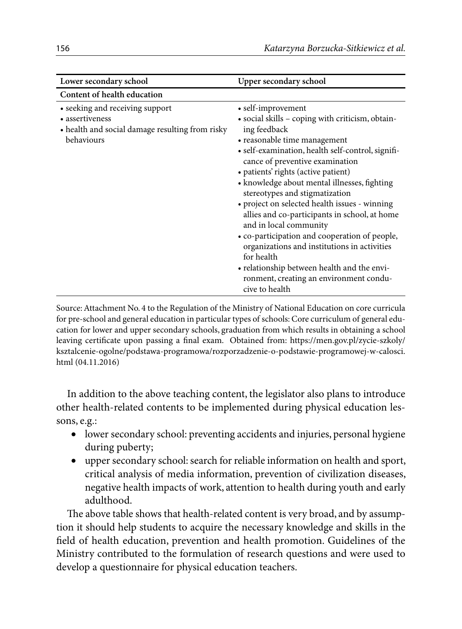| Lower secondary school                                                                                              | Upper secondary school                                                                                                                                                                                                                                                                                                                                                                                                                                                                                                                                                                                                                                                                         |
|---------------------------------------------------------------------------------------------------------------------|------------------------------------------------------------------------------------------------------------------------------------------------------------------------------------------------------------------------------------------------------------------------------------------------------------------------------------------------------------------------------------------------------------------------------------------------------------------------------------------------------------------------------------------------------------------------------------------------------------------------------------------------------------------------------------------------|
| Content of health education                                                                                         |                                                                                                                                                                                                                                                                                                                                                                                                                                                                                                                                                                                                                                                                                                |
| • seeking and receiving support<br>• assertiveness<br>• health and social damage resulting from risky<br>behaviours | • self-improvement<br>· social skills - coping with criticism, obtain-<br>ing feedback<br>• reasonable time management<br>• self-examination, health self-control, signifi-<br>cance of preventive examination<br>• patients' rights (active patient)<br>• knowledge about mental illnesses, fighting<br>stereotypes and stigmatization<br>• project on selected health issues - winning<br>allies and co-participants in school, at home<br>and in local community<br>• co-participation and cooperation of people,<br>organizations and institutions in activities<br>for health<br>• relationship between health and the envi-<br>ronment, creating an environment condu-<br>cive to health |

Source: Attachment No. 4 to the Regulation of the Ministry of National Education on core curricula for pre-school and general education in particular types of schools: Core curriculum of general education for lower and upper secondary schools, graduation from which results in obtaining a school leaving certificate upon passing a final exam. Obtained from: https://men.gov.pl/zycie-szkoly/ ksztalcenie-ogolne/podstawa-programowa/rozporzadzenie-o-podstawie-programowej-w-calosci. html (04.11.2016)

In addition to the above teaching content, the legislator also plans to introduce other health-related contents to be implemented during physical education lessons, e.g.:

- lower secondary school: preventing accidents and injuries, personal hygiene during puberty;
- upper secondary school: search for reliable information on health and sport, critical analysis of media information, prevention of civilization diseases, negative health impacts of work, attention to health during youth and early adulthood.

The above table shows that health-related content is very broad, and by assumption it should help students to acquire the necessary knowledge and skills in the field of health education, prevention and health promotion. Guidelines of the Ministry contributed to the formulation of research questions and were used to develop a questionnaire for physical education teachers.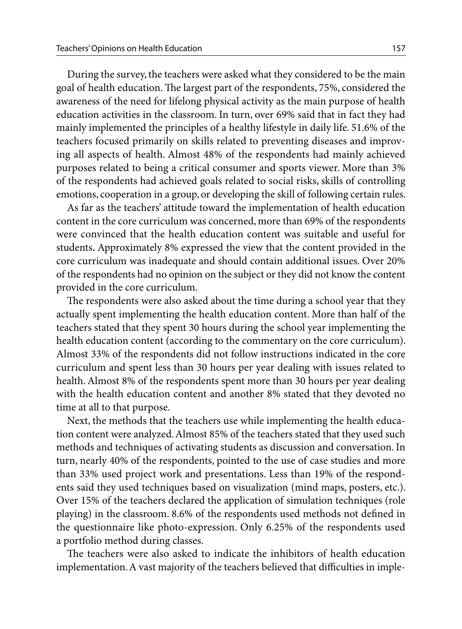During the survey, the teachers were asked what they considered to be the main goal of health education. The largest part of the respondents, 75%, considered the awareness of the need for lifelong physical activity as the main purpose of health education activities in the classroom. In turn, over 69% said that in fact they had mainly implemented the principles of a healthy lifestyle in daily life. 51.6% of the teachers focused primarily on skills related to preventing diseases and improving all aspects of health. Almost 48% of the respondents had mainly achieved purposes related to being a critical consumer and sports viewer. More than 3% of the respondents had achieved goals related to social risks, skills of controlling emotions, cooperation in a group, or developing the skill of following certain rules.

As far as the teachers' attitude toward the implementation of health education content in the core curriculum was concerned, more than 69% of the respondents were convinced that the health education content was suitable and useful for students**.** Approximately 8% expressed the view that the content provided in the core curriculum was inadequate and should contain additional issues. Over 20% of the respondents had no opinion on the subject or they did not know the content provided in the core curriculum.

The respondents were also asked about the time during a school year that they actually spent implementing the health education content. More than half of the teachers stated that they spent 30 hours during the school year implementing the health education content (according to the commentary on the core curriculum). Almost 33% of the respondents did not follow instructions indicated in the core curriculum and spent less than 30 hours per year dealing with issues related to health. Almost 8% of the respondents spent more than 30 hours per year dealing with the health education content and another 8% stated that they devoted no time at all to that purpose.

Next, the methods that the teachers use while implementing the health education content were analyzed. Almost 85% of the teachers stated that they used such methods and techniques of activating students as discussion and conversation. In turn, nearly 40% of the respondents, pointed to the use of case studies and more than 33% used project work and presentations. Less than 19% of the respondents said they used techniques based on visualization (mind maps, posters, etc.). Over 15% of the teachers declared the application of simulation techniques (role playing) in the classroom. 8.6% of the respondents used methods not defined in the questionnaire like photo-expression. Only 6.25% of the respondents used a portfolio method during classes.

The teachers were also asked to indicate the inhibitors of health education implementation. A vast majority of the teachers believed that difficulties in imple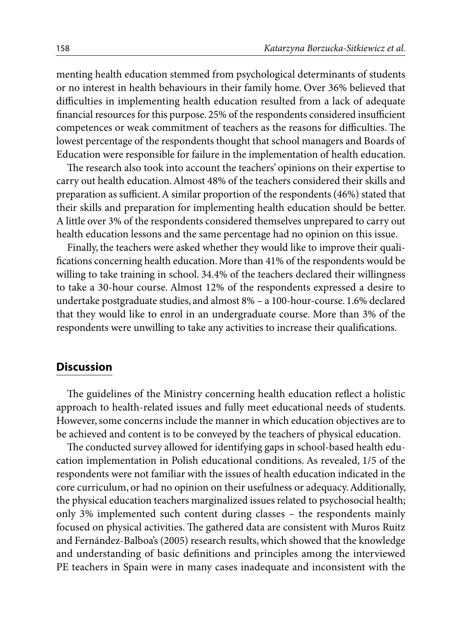menting health education stemmed from psychological determinants of students or no interest in health behaviours in their family home. Over 36% believed that difficulties in implementing health education resulted from a lack of adequate financial resources for this purpose. 25% of the respondents considered insufficient competences or weak commitment of teachers as the reasons for difficulties. The lowest percentage of the respondents thought that school managers and Boards of Education were responsible for failure in the implementation of health education.

The research also took into account the teachers' opinions on their expertise to carry out health education. Almost 48% of the teachers considered their skills and preparation as sufficient. A similar proportion of the respondents (46%) stated that their skills and preparation for implementing health education should be better. A little over 3% of the respondents considered themselves unprepared to carry out health education lessons and the same percentage had no opinion on this issue.

Finally, the teachers were asked whether they would like to improve their qualifications concerning health education. More than 41% of the respondents would be willing to take training in school. 34.4% of the teachers declared their willingness to take a 30-hour course. Almost 12% of the respondents expressed a desire to undertake postgraduate studies, and almost 8% – a 100-hour-course. 1.6% declared that they would like to enrol in an undergraduate course. More than 3% of the respondents were unwilling to take any activities to increase their qualifications.

## **Discussion**

The guidelines of the Ministry concerning health education reflect a holistic approach to health-related issues and fully meet educational needs of students. However, some concerns include the manner in which education objectives are to be achieved and content is to be conveyed by the teachers of physical education.

The conducted survey allowed for identifying gaps in school-based health education implementation in Polish educational conditions. As revealed, 1/5 of the respondents were not familiar with the issues of health education indicated in the core curriculum, or had no opinion on their usefulness or adequacy. Additionally, the physical education teachers marginalized issues related to psychosocial health; only 3% implemented such content during classes – the respondents mainly focused on physical activities. The gathered data are consistent with Muros Ruitz and Fernández-Balboa's (2005) research results, which showed that the knowledge and understanding of basic definitions and principles among the interviewed PE teachers in Spain were in many cases inadequate and inconsistent with the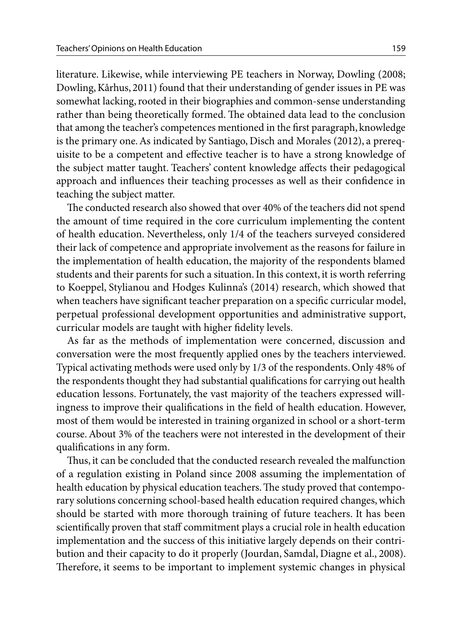literature. Likewise, while interviewing PE teachers in Norway, Dowling (2008; Dowling, Kårhus, 2011) found that their understanding of gender issues in PE was somewhat lacking, rooted in their biographies and common-sense understanding rather than being theoretically formed. The obtained data lead to the conclusion that among the teacher's competences mentioned in the first paragraph, knowledge is the primary one. As indicated by Santiago, Disch and Morales (2012), a prerequisite to be a competent and effective teacher is to have a strong knowledge of the subject matter taught. Teachers' content knowledge affects their pedagogical approach and influences their teaching processes as well as their confidence in teaching the subject matter.

The conducted research also showed that over 40% of the teachers did not spend the amount of time required in the core curriculum implementing the content of health education. Nevertheless, only 1/4 of the teachers surveyed considered their lack of competence and appropriate involvement as the reasons for failure in the implementation of health education, the majority of the respondents blamed students and their parents for such a situation. In this context, it is worth referring to Koeppel, Stylianou and Hodges Kulinna's (2014) research, which showed that when teachers have significant teacher preparation on a specific curricular model, perpetual professional development opportunities and administrative support, curricular models are taught with higher fidelity levels.

As far as the methods of implementation were concerned, discussion and conversation were the most frequently applied ones by the teachers interviewed. Typical activating methods were used only by 1/3 of the respondents. Only 48% of the respondents thought they had substantial qualifications for carrying out health education lessons. Fortunately, the vast majority of the teachers expressed willingness to improve their qualifications in the field of health education. However, most of them would be interested in training organized in school or a short-term course. About 3% of the teachers were not interested in the development of their qualifications in any form.

Thus, it can be concluded that the conducted research revealed the malfunction of a regulation existing in Poland since 2008 assuming the implementation of health education by physical education teachers. The study proved that contemporary solutions concerning school-based health education required changes, which should be started with more thorough training of future teachers. It has been scientifically proven that staff commitment plays a crucial role in health education implementation and the success of this initiative largely depends on their contribution and their capacity to do it properly (Jourdan, Samdal, Diagne et al., 2008). Therefore, it seems to be important to implement systemic changes in physical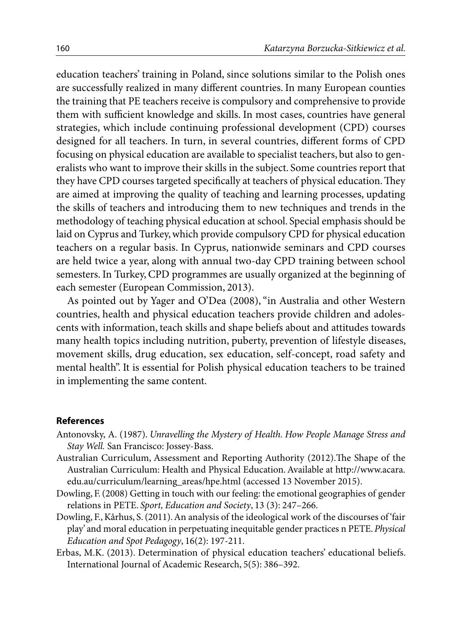education teachers' training in Poland, since solutions similar to the Polish ones are successfully realized in many different countries. In many European counties the training that PE teachers receive is compulsory and comprehensive to provide them with sufficient knowledge and skills. In most cases, countries have general strategies, which include continuing professional development (CPD) courses designed for all teachers. In turn, in several countries, different forms of CPD focusing on physical education are available to specialist teachers, but also to generalists who want to improve their skills in the subject. Some countries report that they have CPD courses targeted specifically at teachers of physical education. They are aimed at improving the quality of teaching and learning processes, updating the skills of teachers and introducing them to new techniques and trends in the methodology of teaching physical education at school. Special emphasis should be laid on Cyprus and Turkey, which provide compulsory CPD for physical education teachers on a regular basis. In Cyprus, nationwide seminars and CPD courses are held twice a year, along with annual two-day CPD training between school semesters. In Turkey, CPD programmes are usually organized at the beginning of each semester (European Commission, 2013).

As pointed out by Yager and O'Dea (2008), "in Australia and other Western countries, health and physical education teachers provide children and adolescents with information, teach skills and shape beliefs about and attitudes towards many health topics including nutrition, puberty, prevention of lifestyle diseases, movement skills, drug education, sex education, self-concept, road safety and mental health". It is essential for Polish physical education teachers to be trained in implementing the same content.

#### **References**

- Antonovsky, A. (1987). *Unravelling the Mystery of Health. How People Manage Stress and Stay Well.* San Francisco: Jossey-Bass.
- Australian Curriculum, Assessment and Reporting Authority (2012).The Shape of the Australian Curriculum: Health and Physical Education. Available at http://www.acara. edu.au/curriculum/learning\_areas/hpe.html (accessed 13 November 2015).
- Dowling, F. (2008) Getting in touch with our feeling: the emotional geographies of gender relations in PETE. *Sport, Education and Society*, 13 (3): 247–266.
- Dowling, F., Kårhus, S. (2011). An analysis of the ideological work of the discourses of 'fair play' and moral education in perpetuating inequitable gender practices n PETE. *Physical Education and Spot Pedagogy*, 16(2): 197-211.
- Erbas, M.K. (2013). Determination of physical education teachers' educational beliefs. International Journal of Academic Research, 5(5): 386–392.